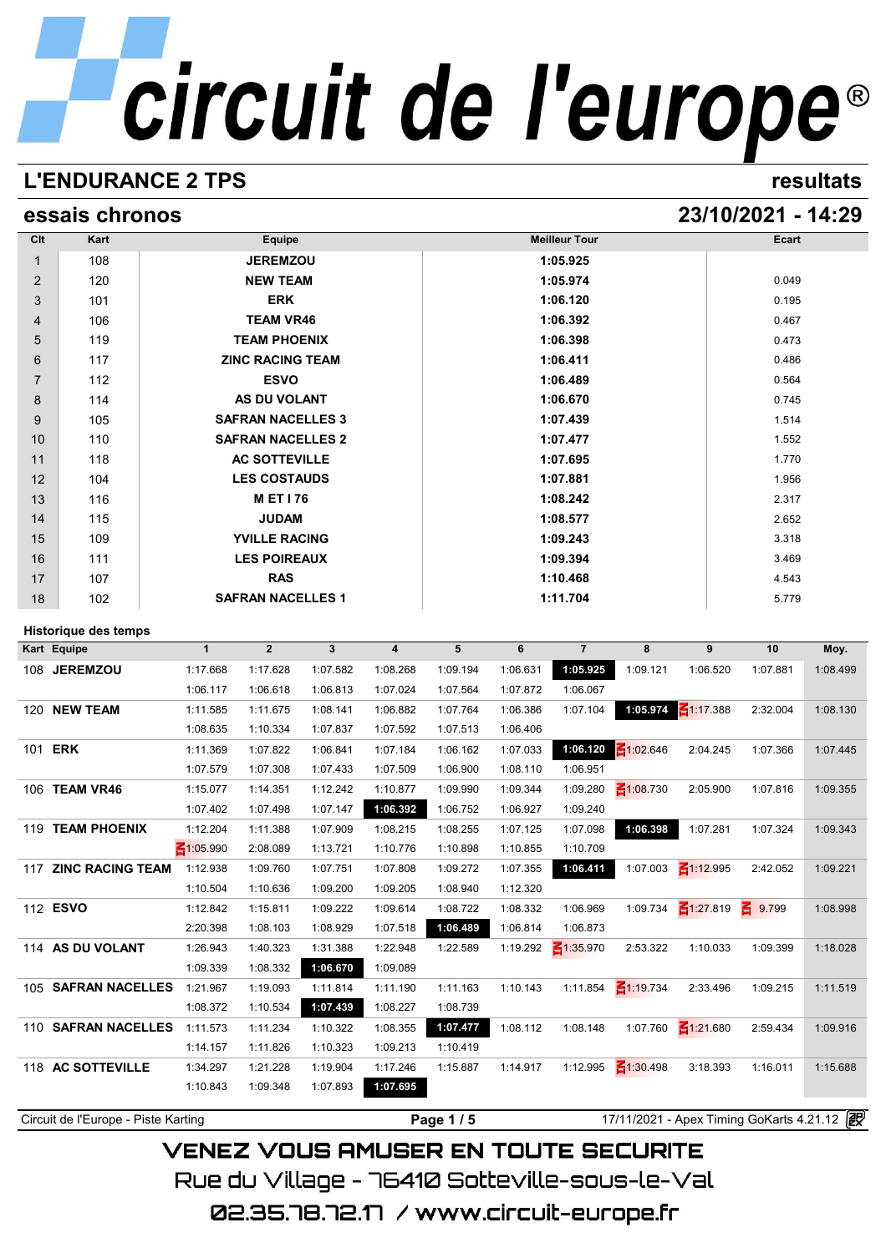## circuit de l'europe®

## **L'ENDURANCE 2 TPS resultats**

## **essais chronos 23/10/2021 - 14:29**

| Clt                        |                             |                      |                          |                      |                      |          |               |                            |                 |                      |                |                  |  |  |
|----------------------------|-----------------------------|----------------------|--------------------------|----------------------|----------------------|----------|---------------|----------------------------|-----------------|----------------------|----------------|------------------|--|--|
|                            | Kart                        |                      | Equipe                   |                      |                      |          |               | <b>Meilleur Tour</b>       |                 |                      | Ecart          |                  |  |  |
| $\mathbf{1}$               | 108                         |                      | <b>JEREMZOU</b>          |                      |                      |          | 1:05.925      |                            |                 |                      |                |                  |  |  |
| $\overline{2}$             | 120                         |                      | <b>NEW TEAM</b>          |                      |                      |          | 1:05.974      |                            | 0.049           |                      |                |                  |  |  |
| 3                          | 101                         |                      | <b>ERK</b>               |                      |                      |          | 1:06.120      |                            | 0.195           |                      |                |                  |  |  |
| 4                          | 106                         |                      | <b>TEAM VR46</b>         |                      |                      |          |               | 1:06.392                   |                 |                      | 0.467          |                  |  |  |
| 5                          | 119                         |                      | <b>TEAM PHOENIX</b>      |                      |                      |          |               | 1:06.398                   |                 |                      | 0.473          |                  |  |  |
| 6                          | 117                         |                      | <b>ZINC RACING TEAM</b>  |                      |                      |          |               | 1:06.411                   |                 |                      | 0.486          |                  |  |  |
| $\overline{7}$             | 112                         |                      | <b>ESVO</b>              |                      |                      |          |               | 1:06.489                   |                 |                      | 0.564          |                  |  |  |
| 8                          | 114                         |                      | <b>AS DU VOLANT</b>      |                      |                      |          |               | 1:06.670                   |                 |                      | 0.745          |                  |  |  |
| 9                          | 105                         |                      | <b>SAFRAN NACELLES 3</b> |                      |                      |          |               | 1:07.439                   |                 |                      | 1.514          |                  |  |  |
| 10                         | 110                         |                      | <b>SAFRAN NACELLES 2</b> |                      |                      |          |               | 1:07.477                   |                 |                      | 1.552          |                  |  |  |
| 11                         | 118                         |                      | <b>AC SOTTEVILLE</b>     |                      |                      |          |               | 1:07.695                   |                 |                      | 1.770          |                  |  |  |
| 12                         | 104                         |                      | <b>LES COSTAUDS</b>      |                      |                      |          |               | 1:07.881                   |                 |                      | 1.956          |                  |  |  |
| 13                         | 116                         |                      | <b>MET176</b>            |                      |                      |          |               | 1:08.242                   |                 |                      | 2.317          |                  |  |  |
| 14                         | 115                         |                      | <b>JUDAM</b>             |                      |                      |          |               | 1:08.577                   |                 |                      | 2.652          |                  |  |  |
| 15                         | 109                         |                      | <b>YVILLE RACING</b>     |                      |                      |          |               | 1:09.243                   |                 |                      | 3.318          |                  |  |  |
| 16                         | 111                         |                      | <b>LES POIREAUX</b>      |                      |                      |          |               | 1:09.394                   |                 |                      | 3.469          |                  |  |  |
| 17                         | 107                         |                      | <b>RAS</b>               |                      |                      |          | 1:10.468      |                            | 4.543           |                      |                |                  |  |  |
| 18                         | 102                         |                      | <b>SAFRAN NACELLES 1</b> |                      |                      |          | 1:11.704      |                            | 5.779           |                      |                |                  |  |  |
|                            |                             |                      |                          |                      |                      |          |               |                            |                 |                      |                |                  |  |  |
|                            | <b>Historique des temps</b> |                      | $\overline{2}$           |                      |                      |          |               |                            |                 |                      |                |                  |  |  |
| Kart Equipe                |                             | $\mathbf{1}$         |                          | $\mathbf{3}$         | 4<br>1:08.268        | 5        | 6<br>1:06.631 | $\overline{7}$<br>1:05.925 | 8<br>1:09.121   | 9<br>1:06.520        | 10<br>1:07.881 | Moy.<br>1:08.499 |  |  |
|                            | 108 JEREMZOU                | 1:17.668             | 1:17.628                 | 1:07.582             |                      |          |               |                            |                 |                      |                |                  |  |  |
|                            |                             |                      |                          |                      |                      | 1:09.194 |               |                            |                 |                      |                |                  |  |  |
|                            |                             | 1:06.117             | 1:06.618                 | 1:06.813             | 1:07.024             | 1:07.564 | 1:07.872      | 1:06.067                   |                 |                      |                |                  |  |  |
|                            | 120 NEW TEAM                | 1:11.585             | 1:11.675                 | 1:08.141             | 1:06.882             | 1:07.764 | 1:06.386      | 1:07.104                   | 1:05.974        | $\frac{2}{1117.388}$ | 2:32.004       | 1:08.130         |  |  |
|                            |                             | 1:08.635             | 1:10.334                 | 1:07.837             | 1:07.592             | 1:07.513 | 1:06.406      |                            |                 |                      |                |                  |  |  |
|                            |                             | 1:11.369             | 1:07.822                 | 1:06.841             | 1:07.184             | 1:06.162 | 1:07.033      | 1:06.120                   | $\leq 1:02.646$ | 2:04.245             | 1:07.366       | 1:07.445         |  |  |
|                            |                             | 1:07.579             | 1:07.308                 | 1:07.433             | 1:07.509             | 1:06.900 | 1:08.110      | 1:06.951                   |                 |                      |                |                  |  |  |
|                            | 106 TEAM VR46               | 1:15.077             | 1:14.351                 | 1:12.242             | 1:10.877             | 1:09.990 | 1:09.344      | 1:09.280                   | $\leq 1:08.730$ | 2:05.900             | 1:07.816       | 1:09.355         |  |  |
|                            |                             | 1:07.402             | 1:07.498                 | 1:07.147             | 1:06.392             | 1:06.752 | 1:06.927      | 1:09.240                   |                 |                      |                |                  |  |  |
|                            | 119 TEAM PHOENIX            | 1:12.204             | 1:11.388                 | 1:07.909             | 1:08.215             | 1:08.255 | 1:07.125      | 1:07.098                   | 1:06.398        | 1:07.281             | 1:07.324       | 1:09.343         |  |  |
|                            |                             | $\leq 1:05.990$      | 2:08.089                 | 1:13.721             | 1:10.776             | 1:10.898 | 1:10.855      | 1:10.709                   |                 |                      |                |                  |  |  |
|                            | 117 ZINC RACING TEAM        | 1:12.938             | 1:09.760                 | 1:07.751             | 1:07.808             | 1:09.272 | 1:07.355      | 1:06.411                   | 1:07.003        | $\leq 1:12.995$      | 2:42.052       | 1:09.221         |  |  |
|                            |                             | 1:10.504             | 1:10.636                 | 1:09.200             | 1:09.205             | 1:08.940 | 1:12.320      |                            |                 |                      |                |                  |  |  |
|                            |                             | 1:12.842             | 1:15.811                 | 1:09.222             | 1:09.614             | 1:08.722 | 1:08.332      | 1:06.969                   | 1:09.734        | $\frac{2}{127.819}$  | $-9.799$       | 1:08.998         |  |  |
|                            |                             | 2:20.398             | 1:08.103                 | 1:08.929             | 1:07.518             | 1:06.489 | 1:06.814      | 1:06.873                   |                 |                      |                |                  |  |  |
|                            | 114 AS DU VOLANT            | 1:26.943             | 1:40.323                 | 1:31.388             | 1:22.948             | 1:22.589 | 1:19.292      | ₹1:35.970                  | 2:53.322        | 1:10.033             | 1:09.399       | 1:18.028         |  |  |
|                            |                             | 1:09.339             | 1:08.332                 | 1:06.670             | 1:09.089             |          |               |                            |                 |                      |                |                  |  |  |
|                            | 105 SAFRAN NACELLES         | 1:21.967             | 1:19.093                 | 1:11.814             | 1:11.190             | 1:11.163 | 1:10.143      | 1:11.854                   | $\leq 1:19.734$ | 2:33.496             | 1:09.215       | 1:11.519         |  |  |
|                            |                             | 1:08.372             | 1:10.534                 | 1:07.439             | 1:08.227             | 1:08.739 |               |                            |                 |                      |                |                  |  |  |
|                            | 110 SAFRAN NACELLES         | 1:11.573             | 1:11.234                 | 1:10.322             | 1:08.355             | 1:07.477 | 1:08.112      | 1:08.148                   | 1:07.760        | $\leq 1:21.680$      | 2:59.434       | 1:09.916         |  |  |
| 101 <b>ERK</b><br>112 ESVO |                             | 1:14.157             | 1:11.826                 | 1:10.323             | 1:09.213             | 1:10.419 |               |                            |                 |                      |                |                  |  |  |
|                            | 118 AC SOTTEVILLE           | 1:34.297<br>1:10.843 | 1:21.228<br>1:09.348     | 1:19.904<br>1:07.893 | 1:17.246<br>1:07.695 | 1:15.887 | 1:14.917      | 1:12.995                   | $\leq 1:30.498$ | 3:18.393             | 1:16.011       | 1:15.688         |  |  |

**VENEZ VOUS AMUSER EN TOUTE SECURITE** Rue du Village – 76410 Sotteville-sous-le-Val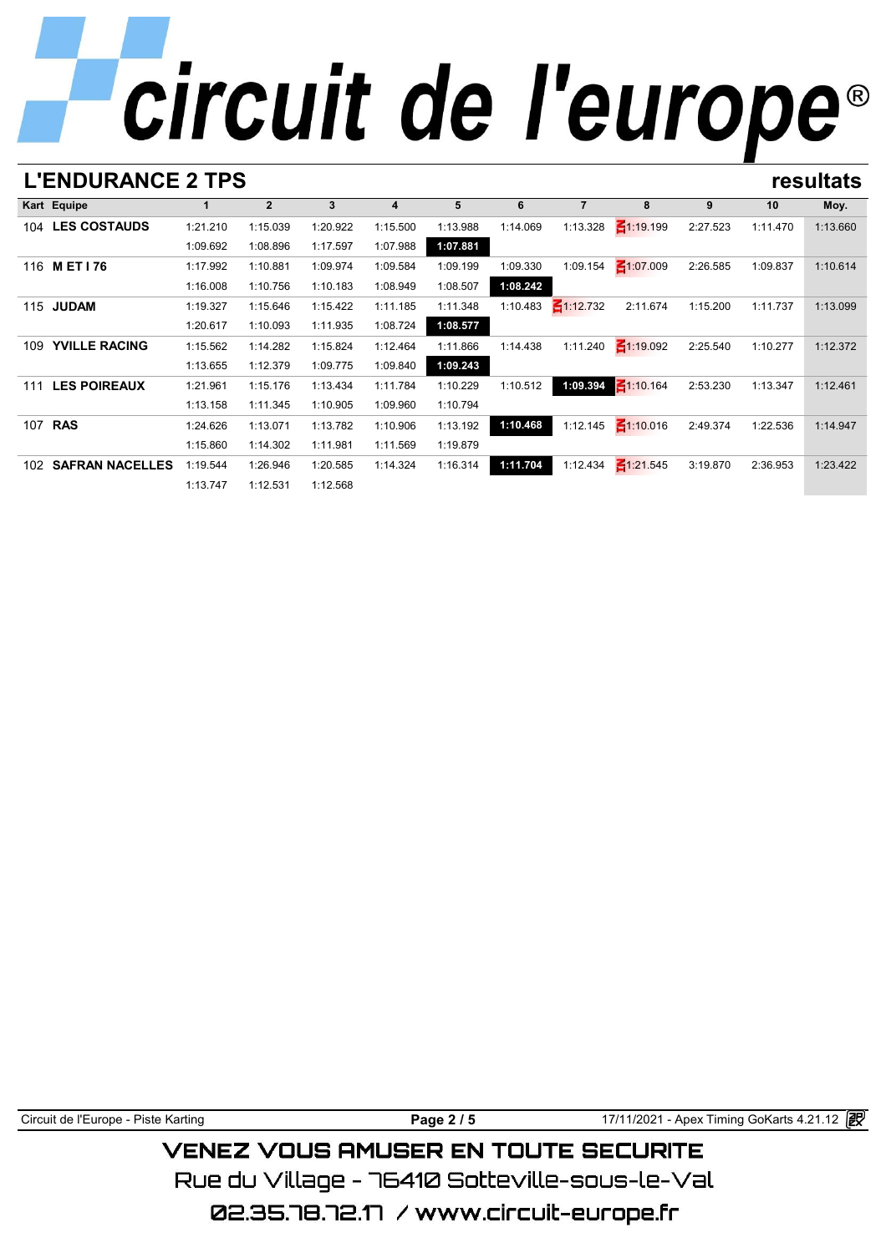| <b>L'ENDURANCE 2 TPS</b>        |  |  |  |  |  | resultats |
|---------------------------------|--|--|--|--|--|-----------|
| <b>International Properties</b> |  |  |  |  |  |           |

|     | L ENDURANGE 4 I FJ     |          |                |          |          |          |          |                 |                 |          |          | esultats |
|-----|------------------------|----------|----------------|----------|----------|----------|----------|-----------------|-----------------|----------|----------|----------|
|     | Kart Equipe            |          | $\overline{2}$ | 3        | 4        | 5        | 6        | $\overline{7}$  | 8               | 9        | 10       | Moy.     |
|     | 104 LES COSTAUDS       | 1:21.210 | 1:15.039       | 1:20.922 | 1:15.500 | 1:13.988 | 1:14.069 | 1:13.328        | $\leq 1:19.199$ | 2:27.523 | 1:11.470 | 1:13.660 |
|     |                        | 1:09.692 | 1:08.896       | 1:17.597 | 1:07.988 | 1:07.881 |          |                 |                 |          |          |          |
|     | 116 MET176             | 1:17.992 | 1:10.881       | 1:09.974 | 1:09.584 | 1:09.199 | 1:09.330 | 1:09.154        | $\leq 1:07.009$ | 2:26.585 | 1:09.837 | 1:10.614 |
|     |                        | 1:16.008 | 1:10.756       | 1:10.183 | 1:08.949 | 1:08.507 | 1:08.242 |                 |                 |          |          |          |
| 115 | <b>JUDAM</b>           | 1:19.327 | 1:15.646       | 1:15.422 | 1:11.185 | 1:11.348 | 1:10.483 | $\leq$ 1:12.732 | 2:11.674        | 1:15.200 | 1:11.737 | 1:13.099 |
|     |                        | 1:20.617 | 1:10.093       | 1:11.935 | 1:08.724 | 1:08.577 |          |                 |                 |          |          |          |
| 109 | <b>YVILLE RACING</b>   | 1:15.562 | 1:14.282       | 1:15.824 | 1:12.464 | 1:11.866 | 1:14.438 | 1:11.240        | $\leq 1:19.092$ | 2:25.540 | 1:10.277 | 1:12.372 |
|     |                        | 1:13.655 | 1:12.379       | 1:09.775 | 1:09.840 | 1:09.243 |          |                 |                 |          |          |          |
| 111 | <b>LES POIREAUX</b>    | 1:21.961 | 1:15.176       | 1:13.434 | 1:11.784 | 1:10.229 | 1:10.512 | 1:09.394        | $\leq 1:10.164$ | 2:53.230 | 1:13.347 | 1:12.461 |
|     |                        | 1:13.158 | 1:11.345       | 1:10.905 | 1:09.960 | 1:10.794 |          |                 |                 |          |          |          |
|     | 107 <b>RAS</b>         | 1:24.626 | 1:13.071       | 1:13.782 | 1:10.906 | 1:13.192 | 1:10.468 | 1:12.145        | $\leq 1:10.016$ | 2:49.374 | 1:22.536 | 1:14.947 |
|     |                        | 1:15.860 | 1:14.302       | 1:11.981 | 1:11.569 | 1:19.879 |          |                 |                 |          |          |          |
| 102 | <b>SAFRAN NACELLES</b> | 1:19.544 | 1:26.946       | 1:20.585 | 1:14.324 | 1:16.314 | 1:11.704 | 1:12.434        | $\leq$ 1:21.545 | 3:19.870 | 2:36.953 | 1:23.422 |
|     |                        | 1:13.747 | 1:12.531       | 1:12.568 |          |          |          |                 |                 |          |          |          |

Rue du Village – 76410 Sotteville-sous-le-Val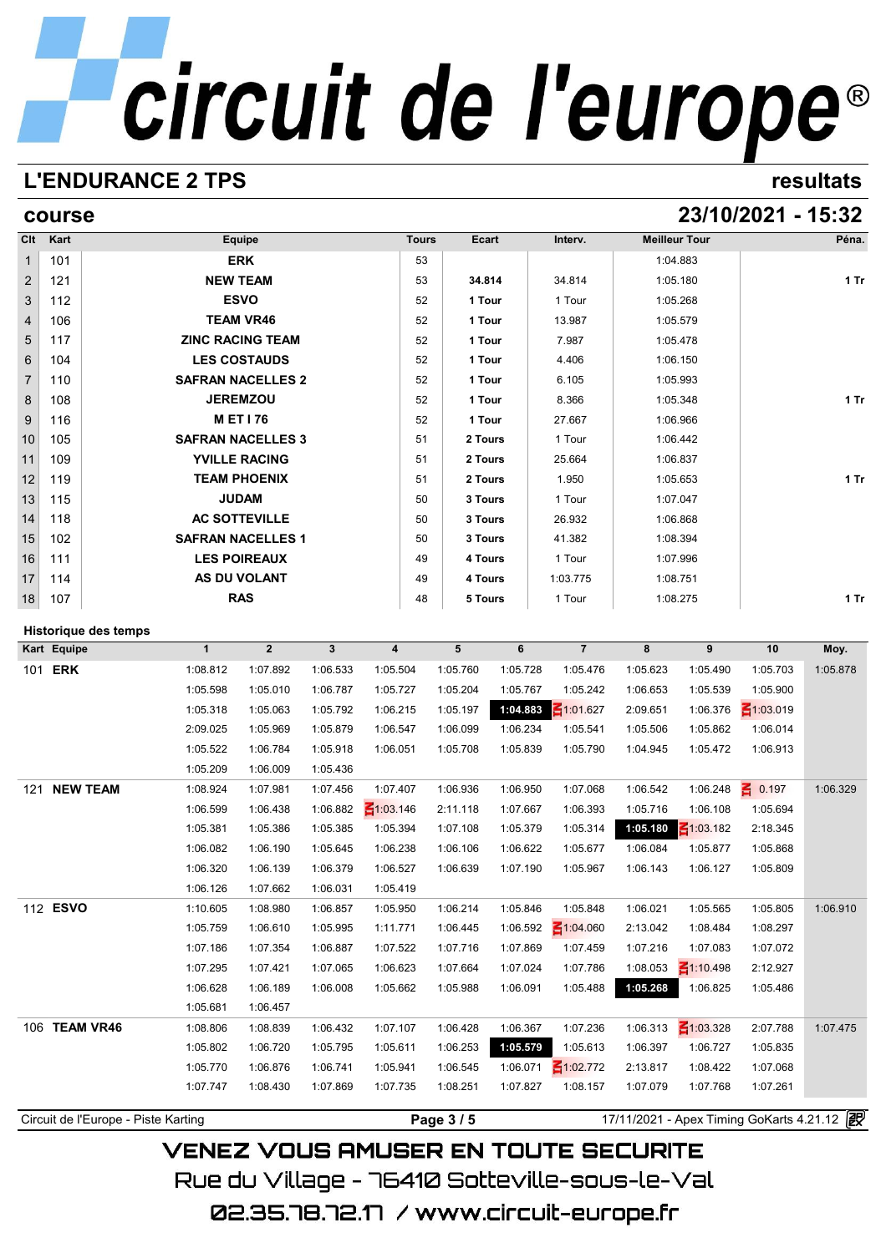## circuit de l'europe®

## **L'ENDURANCE 2 TPS resultats**

## **course 23/10/2021 - 15:32**

| 101<br>121<br>112<br>106<br>117<br>104<br>110<br>108<br>116<br>105<br>109<br>119<br>115<br>118<br>102<br>111<br>114<br>107 | <b>SAFRAN NACELLES 2</b><br><b>SAFRAN NACELLES 3</b><br><b>SAFRAN NACELLES 1</b><br><b>AS DU VOLANT</b> | <b>ERK</b><br><b>NEW TEAM</b><br><b>ESVO</b><br><b>TEAM VR46</b><br><b>ZINC RACING TEAM</b><br><b>LES COSTAUDS</b><br><b>JEREMZOU</b><br><b>MET176</b><br><b>YVILLE RACING</b><br><b>TEAM PHOENIX</b><br><b>JUDAM</b><br><b>AC SOTTEVILLE</b><br><b>LES POIREAUX</b>                                                        |                                                                                                                                                                                                                                                                                                 |                                                                                                                                                                                                                                                                         | 53<br>53<br>52<br>52<br>52<br>52<br>52<br>52<br>52<br>51<br>51<br>51<br>50<br>50 | 34.814<br>1 Tour<br>1 Tour<br>1 Tour<br>1 Tour<br>1 Tour<br>1 Tour<br>1 Tour<br>2 Tours<br>2 Tours<br>2 Tours<br>3 Tours                                                                                                                            |                                                                                                                                                                                                                                                     | 34.814<br>1 Tour<br>13.987<br>7.987<br>4.406<br>6.105<br>8.366<br>27.667<br>1 Tour<br>25.664                                                                                                                                          |                                                                                                                                                                                                                                                                         | 1:04.883<br>1:05.180<br>1:05.268<br>1:05.579<br>1:05.478<br>1:06.150<br>1:05.993<br>1:05.348<br>1:06.966<br>1:06.442<br>1:06.837                                                                                                                                                    |                                                                                                                                                                                                                                                            | 1 Tr<br>$1$ Tr                                                                                                                                                                                                                                    |
|----------------------------------------------------------------------------------------------------------------------------|---------------------------------------------------------------------------------------------------------|-----------------------------------------------------------------------------------------------------------------------------------------------------------------------------------------------------------------------------------------------------------------------------------------------------------------------------|-------------------------------------------------------------------------------------------------------------------------------------------------------------------------------------------------------------------------------------------------------------------------------------------------|-------------------------------------------------------------------------------------------------------------------------------------------------------------------------------------------------------------------------------------------------------------------------|----------------------------------------------------------------------------------|-----------------------------------------------------------------------------------------------------------------------------------------------------------------------------------------------------------------------------------------------------|-----------------------------------------------------------------------------------------------------------------------------------------------------------------------------------------------------------------------------------------------------|---------------------------------------------------------------------------------------------------------------------------------------------------------------------------------------------------------------------------------------|-------------------------------------------------------------------------------------------------------------------------------------------------------------------------------------------------------------------------------------------------------------------------|-------------------------------------------------------------------------------------------------------------------------------------------------------------------------------------------------------------------------------------------------------------------------------------|------------------------------------------------------------------------------------------------------------------------------------------------------------------------------------------------------------------------------------------------------------|---------------------------------------------------------------------------------------------------------------------------------------------------------------------------------------------------------------------------------------------------|
|                                                                                                                            |                                                                                                         |                                                                                                                                                                                                                                                                                                                             |                                                                                                                                                                                                                                                                                                 |                                                                                                                                                                                                                                                                         |                                                                                  |                                                                                                                                                                                                                                                     |                                                                                                                                                                                                                                                     |                                                                                                                                                                                                                                       |                                                                                                                                                                                                                                                                         |                                                                                                                                                                                                                                                                                     |                                                                                                                                                                                                                                                            |                                                                                                                                                                                                                                                   |
|                                                                                                                            |                                                                                                         |                                                                                                                                                                                                                                                                                                                             |                                                                                                                                                                                                                                                                                                 |                                                                                                                                                                                                                                                                         |                                                                                  |                                                                                                                                                                                                                                                     |                                                                                                                                                                                                                                                     |                                                                                                                                                                                                                                       |                                                                                                                                                                                                                                                                         |                                                                                                                                                                                                                                                                                     |                                                                                                                                                                                                                                                            |                                                                                                                                                                                                                                                   |
|                                                                                                                            |                                                                                                         |                                                                                                                                                                                                                                                                                                                             |                                                                                                                                                                                                                                                                                                 |                                                                                                                                                                                                                                                                         |                                                                                  |                                                                                                                                                                                                                                                     |                                                                                                                                                                                                                                                     |                                                                                                                                                                                                                                       |                                                                                                                                                                                                                                                                         |                                                                                                                                                                                                                                                                                     |                                                                                                                                                                                                                                                            |                                                                                                                                                                                                                                                   |
|                                                                                                                            |                                                                                                         |                                                                                                                                                                                                                                                                                                                             |                                                                                                                                                                                                                                                                                                 |                                                                                                                                                                                                                                                                         |                                                                                  |                                                                                                                                                                                                                                                     |                                                                                                                                                                                                                                                     |                                                                                                                                                                                                                                       |                                                                                                                                                                                                                                                                         |                                                                                                                                                                                                                                                                                     |                                                                                                                                                                                                                                                            |                                                                                                                                                                                                                                                   |
|                                                                                                                            |                                                                                                         |                                                                                                                                                                                                                                                                                                                             |                                                                                                                                                                                                                                                                                                 |                                                                                                                                                                                                                                                                         |                                                                                  |                                                                                                                                                                                                                                                     |                                                                                                                                                                                                                                                     |                                                                                                                                                                                                                                       |                                                                                                                                                                                                                                                                         |                                                                                                                                                                                                                                                                                     |                                                                                                                                                                                                                                                            |                                                                                                                                                                                                                                                   |
|                                                                                                                            |                                                                                                         |                                                                                                                                                                                                                                                                                                                             |                                                                                                                                                                                                                                                                                                 |                                                                                                                                                                                                                                                                         |                                                                                  |                                                                                                                                                                                                                                                     |                                                                                                                                                                                                                                                     |                                                                                                                                                                                                                                       |                                                                                                                                                                                                                                                                         |                                                                                                                                                                                                                                                                                     |                                                                                                                                                                                                                                                            |                                                                                                                                                                                                                                                   |
|                                                                                                                            |                                                                                                         |                                                                                                                                                                                                                                                                                                                             |                                                                                                                                                                                                                                                                                                 |                                                                                                                                                                                                                                                                         |                                                                                  |                                                                                                                                                                                                                                                     |                                                                                                                                                                                                                                                     |                                                                                                                                                                                                                                       |                                                                                                                                                                                                                                                                         |                                                                                                                                                                                                                                                                                     |                                                                                                                                                                                                                                                            |                                                                                                                                                                                                                                                   |
|                                                                                                                            |                                                                                                         |                                                                                                                                                                                                                                                                                                                             |                                                                                                                                                                                                                                                                                                 |                                                                                                                                                                                                                                                                         |                                                                                  |                                                                                                                                                                                                                                                     |                                                                                                                                                                                                                                                     |                                                                                                                                                                                                                                       |                                                                                                                                                                                                                                                                         |                                                                                                                                                                                                                                                                                     |                                                                                                                                                                                                                                                            |                                                                                                                                                                                                                                                   |
|                                                                                                                            |                                                                                                         |                                                                                                                                                                                                                                                                                                                             |                                                                                                                                                                                                                                                                                                 |                                                                                                                                                                                                                                                                         |                                                                                  |                                                                                                                                                                                                                                                     |                                                                                                                                                                                                                                                     |                                                                                                                                                                                                                                       |                                                                                                                                                                                                                                                                         |                                                                                                                                                                                                                                                                                     |                                                                                                                                                                                                                                                            |                                                                                                                                                                                                                                                   |
|                                                                                                                            |                                                                                                         |                                                                                                                                                                                                                                                                                                                             |                                                                                                                                                                                                                                                                                                 |                                                                                                                                                                                                                                                                         |                                                                                  |                                                                                                                                                                                                                                                     |                                                                                                                                                                                                                                                     |                                                                                                                                                                                                                                       |                                                                                                                                                                                                                                                                         |                                                                                                                                                                                                                                                                                     |                                                                                                                                                                                                                                                            |                                                                                                                                                                                                                                                   |
|                                                                                                                            |                                                                                                         |                                                                                                                                                                                                                                                                                                                             |                                                                                                                                                                                                                                                                                                 |                                                                                                                                                                                                                                                                         |                                                                                  |                                                                                                                                                                                                                                                     |                                                                                                                                                                                                                                                     |                                                                                                                                                                                                                                       |                                                                                                                                                                                                                                                                         |                                                                                                                                                                                                                                                                                     |                                                                                                                                                                                                                                                            |                                                                                                                                                                                                                                                   |
|                                                                                                                            |                                                                                                         |                                                                                                                                                                                                                                                                                                                             |                                                                                                                                                                                                                                                                                                 |                                                                                                                                                                                                                                                                         |                                                                                  |                                                                                                                                                                                                                                                     |                                                                                                                                                                                                                                                     | 1.950                                                                                                                                                                                                                                 |                                                                                                                                                                                                                                                                         | 1:05.653                                                                                                                                                                                                                                                                            |                                                                                                                                                                                                                                                            | $1$ Tr                                                                                                                                                                                                                                            |
|                                                                                                                            |                                                                                                         |                                                                                                                                                                                                                                                                                                                             |                                                                                                                                                                                                                                                                                                 |                                                                                                                                                                                                                                                                         |                                                                                  |                                                                                                                                                                                                                                                     |                                                                                                                                                                                                                                                     | 1 Tour                                                                                                                                                                                                                                |                                                                                                                                                                                                                                                                         | 1:07.047                                                                                                                                                                                                                                                                            |                                                                                                                                                                                                                                                            |                                                                                                                                                                                                                                                   |
|                                                                                                                            |                                                                                                         |                                                                                                                                                                                                                                                                                                                             |                                                                                                                                                                                                                                                                                                 |                                                                                                                                                                                                                                                                         |                                                                                  | 3 Tours                                                                                                                                                                                                                                             |                                                                                                                                                                                                                                                     | 26.932                                                                                                                                                                                                                                |                                                                                                                                                                                                                                                                         | 1:06.868                                                                                                                                                                                                                                                                            |                                                                                                                                                                                                                                                            |                                                                                                                                                                                                                                                   |
|                                                                                                                            |                                                                                                         |                                                                                                                                                                                                                                                                                                                             |                                                                                                                                                                                                                                                                                                 |                                                                                                                                                                                                                                                                         | 50                                                                               | 3 Tours                                                                                                                                                                                                                                             |                                                                                                                                                                                                                                                     | 41.382                                                                                                                                                                                                                                |                                                                                                                                                                                                                                                                         | 1:08.394                                                                                                                                                                                                                                                                            |                                                                                                                                                                                                                                                            |                                                                                                                                                                                                                                                   |
|                                                                                                                            |                                                                                                         |                                                                                                                                                                                                                                                                                                                             |                                                                                                                                                                                                                                                                                                 |                                                                                                                                                                                                                                                                         | 49                                                                               | 4 Tours                                                                                                                                                                                                                                             |                                                                                                                                                                                                                                                     | 1 Tour                                                                                                                                                                                                                                |                                                                                                                                                                                                                                                                         | 1:07.996                                                                                                                                                                                                                                                                            |                                                                                                                                                                                                                                                            |                                                                                                                                                                                                                                                   |
|                                                                                                                            |                                                                                                         |                                                                                                                                                                                                                                                                                                                             |                                                                                                                                                                                                                                                                                                 |                                                                                                                                                                                                                                                                         | 49                                                                               | 4 Tours                                                                                                                                                                                                                                             |                                                                                                                                                                                                                                                     | 1:03.775                                                                                                                                                                                                                              |                                                                                                                                                                                                                                                                         | 1:08.751                                                                                                                                                                                                                                                                            |                                                                                                                                                                                                                                                            |                                                                                                                                                                                                                                                   |
|                                                                                                                            |                                                                                                         | <b>RAS</b>                                                                                                                                                                                                                                                                                                                  |                                                                                                                                                                                                                                                                                                 |                                                                                                                                                                                                                                                                         | 48                                                                               | 5 Tours                                                                                                                                                                                                                                             |                                                                                                                                                                                                                                                     | 1 Tour                                                                                                                                                                                                                                |                                                                                                                                                                                                                                                                         | 1:08.275                                                                                                                                                                                                                                                                            |                                                                                                                                                                                                                                                            | $1$ Tr                                                                                                                                                                                                                                            |
|                                                                                                                            |                                                                                                         |                                                                                                                                                                                                                                                                                                                             |                                                                                                                                                                                                                                                                                                 |                                                                                                                                                                                                                                                                         |                                                                                  |                                                                                                                                                                                                                                                     |                                                                                                                                                                                                                                                     |                                                                                                                                                                                                                                       |                                                                                                                                                                                                                                                                         |                                                                                                                                                                                                                                                                                     |                                                                                                                                                                                                                                                            |                                                                                                                                                                                                                                                   |
|                                                                                                                            |                                                                                                         |                                                                                                                                                                                                                                                                                                                             |                                                                                                                                                                                                                                                                                                 |                                                                                                                                                                                                                                                                         |                                                                                  |                                                                                                                                                                                                                                                     |                                                                                                                                                                                                                                                     |                                                                                                                                                                                                                                       |                                                                                                                                                                                                                                                                         |                                                                                                                                                                                                                                                                                     |                                                                                                                                                                                                                                                            | Moy.                                                                                                                                                                                                                                              |
|                                                                                                                            |                                                                                                         |                                                                                                                                                                                                                                                                                                                             |                                                                                                                                                                                                                                                                                                 |                                                                                                                                                                                                                                                                         |                                                                                  |                                                                                                                                                                                                                                                     |                                                                                                                                                                                                                                                     |                                                                                                                                                                                                                                       |                                                                                                                                                                                                                                                                         |                                                                                                                                                                                                                                                                                     |                                                                                                                                                                                                                                                            |                                                                                                                                                                                                                                                   |
|                                                                                                                            |                                                                                                         |                                                                                                                                                                                                                                                                                                                             |                                                                                                                                                                                                                                                                                                 |                                                                                                                                                                                                                                                                         |                                                                                  |                                                                                                                                                                                                                                                     |                                                                                                                                                                                                                                                     |                                                                                                                                                                                                                                       |                                                                                                                                                                                                                                                                         |                                                                                                                                                                                                                                                                                     |                                                                                                                                                                                                                                                            | 1:05.878                                                                                                                                                                                                                                          |
|                                                                                                                            |                                                                                                         |                                                                                                                                                                                                                                                                                                                             |                                                                                                                                                                                                                                                                                                 |                                                                                                                                                                                                                                                                         |                                                                                  |                                                                                                                                                                                                                                                     |                                                                                                                                                                                                                                                     |                                                                                                                                                                                                                                       |                                                                                                                                                                                                                                                                         |                                                                                                                                                                                                                                                                                     |                                                                                                                                                                                                                                                            |                                                                                                                                                                                                                                                   |
|                                                                                                                            |                                                                                                         |                                                                                                                                                                                                                                                                                                                             |                                                                                                                                                                                                                                                                                                 |                                                                                                                                                                                                                                                                         |                                                                                  |                                                                                                                                                                                                                                                     |                                                                                                                                                                                                                                                     |                                                                                                                                                                                                                                       |                                                                                                                                                                                                                                                                         |                                                                                                                                                                                                                                                                                     |                                                                                                                                                                                                                                                            |                                                                                                                                                                                                                                                   |
|                                                                                                                            |                                                                                                         |                                                                                                                                                                                                                                                                                                                             |                                                                                                                                                                                                                                                                                                 |                                                                                                                                                                                                                                                                         |                                                                                  |                                                                                                                                                                                                                                                     |                                                                                                                                                                                                                                                     |                                                                                                                                                                                                                                       |                                                                                                                                                                                                                                                                         |                                                                                                                                                                                                                                                                                     |                                                                                                                                                                                                                                                            |                                                                                                                                                                                                                                                   |
|                                                                                                                            |                                                                                                         |                                                                                                                                                                                                                                                                                                                             |                                                                                                                                                                                                                                                                                                 |                                                                                                                                                                                                                                                                         |                                                                                  |                                                                                                                                                                                                                                                     |                                                                                                                                                                                                                                                     |                                                                                                                                                                                                                                       |                                                                                                                                                                                                                                                                         |                                                                                                                                                                                                                                                                                     |                                                                                                                                                                                                                                                            |                                                                                                                                                                                                                                                   |
|                                                                                                                            |                                                                                                         |                                                                                                                                                                                                                                                                                                                             |                                                                                                                                                                                                                                                                                                 |                                                                                                                                                                                                                                                                         |                                                                                  |                                                                                                                                                                                                                                                     |                                                                                                                                                                                                                                                     |                                                                                                                                                                                                                                       |                                                                                                                                                                                                                                                                         |                                                                                                                                                                                                                                                                                     |                                                                                                                                                                                                                                                            | 1:06.329                                                                                                                                                                                                                                          |
|                                                                                                                            |                                                                                                         |                                                                                                                                                                                                                                                                                                                             |                                                                                                                                                                                                                                                                                                 |                                                                                                                                                                                                                                                                         |                                                                                  |                                                                                                                                                                                                                                                     |                                                                                                                                                                                                                                                     |                                                                                                                                                                                                                                       |                                                                                                                                                                                                                                                                         |                                                                                                                                                                                                                                                                                     |                                                                                                                                                                                                                                                            |                                                                                                                                                                                                                                                   |
|                                                                                                                            |                                                                                                         |                                                                                                                                                                                                                                                                                                                             |                                                                                                                                                                                                                                                                                                 |                                                                                                                                                                                                                                                                         |                                                                                  |                                                                                                                                                                                                                                                     |                                                                                                                                                                                                                                                     |                                                                                                                                                                                                                                       |                                                                                                                                                                                                                                                                         |                                                                                                                                                                                                                                                                                     |                                                                                                                                                                                                                                                            |                                                                                                                                                                                                                                                   |
|                                                                                                                            |                                                                                                         |                                                                                                                                                                                                                                                                                                                             |                                                                                                                                                                                                                                                                                                 |                                                                                                                                                                                                                                                                         |                                                                                  |                                                                                                                                                                                                                                                     |                                                                                                                                                                                                                                                     |                                                                                                                                                                                                                                       |                                                                                                                                                                                                                                                                         |                                                                                                                                                                                                                                                                                     |                                                                                                                                                                                                                                                            |                                                                                                                                                                                                                                                   |
|                                                                                                                            |                                                                                                         |                                                                                                                                                                                                                                                                                                                             |                                                                                                                                                                                                                                                                                                 |                                                                                                                                                                                                                                                                         |                                                                                  |                                                                                                                                                                                                                                                     |                                                                                                                                                                                                                                                     |                                                                                                                                                                                                                                       |                                                                                                                                                                                                                                                                         |                                                                                                                                                                                                                                                                                     |                                                                                                                                                                                                                                                            |                                                                                                                                                                                                                                                   |
|                                                                                                                            |                                                                                                         |                                                                                                                                                                                                                                                                                                                             |                                                                                                                                                                                                                                                                                                 |                                                                                                                                                                                                                                                                         |                                                                                  |                                                                                                                                                                                                                                                     |                                                                                                                                                                                                                                                     |                                                                                                                                                                                                                                       |                                                                                                                                                                                                                                                                         |                                                                                                                                                                                                                                                                                     |                                                                                                                                                                                                                                                            |                                                                                                                                                                                                                                                   |
|                                                                                                                            |                                                                                                         |                                                                                                                                                                                                                                                                                                                             |                                                                                                                                                                                                                                                                                                 |                                                                                                                                                                                                                                                                         |                                                                                  |                                                                                                                                                                                                                                                     |                                                                                                                                                                                                                                                     |                                                                                                                                                                                                                                       |                                                                                                                                                                                                                                                                         |                                                                                                                                                                                                                                                                                     |                                                                                                                                                                                                                                                            | 1:06.910                                                                                                                                                                                                                                          |
|                                                                                                                            |                                                                                                         |                                                                                                                                                                                                                                                                                                                             |                                                                                                                                                                                                                                                                                                 |                                                                                                                                                                                                                                                                         |                                                                                  |                                                                                                                                                                                                                                                     |                                                                                                                                                                                                                                                     |                                                                                                                                                                                                                                       |                                                                                                                                                                                                                                                                         |                                                                                                                                                                                                                                                                                     |                                                                                                                                                                                                                                                            |                                                                                                                                                                                                                                                   |
|                                                                                                                            |                                                                                                         |                                                                                                                                                                                                                                                                                                                             |                                                                                                                                                                                                                                                                                                 |                                                                                                                                                                                                                                                                         |                                                                                  |                                                                                                                                                                                                                                                     |                                                                                                                                                                                                                                                     |                                                                                                                                                                                                                                       |                                                                                                                                                                                                                                                                         |                                                                                                                                                                                                                                                                                     |                                                                                                                                                                                                                                                            |                                                                                                                                                                                                                                                   |
|                                                                                                                            |                                                                                                         |                                                                                                                                                                                                                                                                                                                             |                                                                                                                                                                                                                                                                                                 |                                                                                                                                                                                                                                                                         |                                                                                  |                                                                                                                                                                                                                                                     |                                                                                                                                                                                                                                                     |                                                                                                                                                                                                                                       |                                                                                                                                                                                                                                                                         |                                                                                                                                                                                                                                                                                     |                                                                                                                                                                                                                                                            |                                                                                                                                                                                                                                                   |
|                                                                                                                            |                                                                                                         |                                                                                                                                                                                                                                                                                                                             |                                                                                                                                                                                                                                                                                                 |                                                                                                                                                                                                                                                                         |                                                                                  |                                                                                                                                                                                                                                                     |                                                                                                                                                                                                                                                     |                                                                                                                                                                                                                                       |                                                                                                                                                                                                                                                                         |                                                                                                                                                                                                                                                                                     |                                                                                                                                                                                                                                                            |                                                                                                                                                                                                                                                   |
|                                                                                                                            |                                                                                                         |                                                                                                                                                                                                                                                                                                                             |                                                                                                                                                                                                                                                                                                 |                                                                                                                                                                                                                                                                         |                                                                                  |                                                                                                                                                                                                                                                     |                                                                                                                                                                                                                                                     |                                                                                                                                                                                                                                       |                                                                                                                                                                                                                                                                         |                                                                                                                                                                                                                                                                                     |                                                                                                                                                                                                                                                            |                                                                                                                                                                                                                                                   |
|                                                                                                                            |                                                                                                         |                                                                                                                                                                                                                                                                                                                             |                                                                                                                                                                                                                                                                                                 |                                                                                                                                                                                                                                                                         |                                                                                  |                                                                                                                                                                                                                                                     |                                                                                                                                                                                                                                                     |                                                                                                                                                                                                                                       |                                                                                                                                                                                                                                                                         |                                                                                                                                                                                                                                                                                     |                                                                                                                                                                                                                                                            | 1:07.475                                                                                                                                                                                                                                          |
|                                                                                                                            |                                                                                                         |                                                                                                                                                                                                                                                                                                                             |                                                                                                                                                                                                                                                                                                 |                                                                                                                                                                                                                                                                         |                                                                                  |                                                                                                                                                                                                                                                     |                                                                                                                                                                                                                                                     |                                                                                                                                                                                                                                       |                                                                                                                                                                                                                                                                         |                                                                                                                                                                                                                                                                                     |                                                                                                                                                                                                                                                            |                                                                                                                                                                                                                                                   |
|                                                                                                                            |                                                                                                         |                                                                                                                                                                                                                                                                                                                             |                                                                                                                                                                                                                                                                                                 |                                                                                                                                                                                                                                                                         |                                                                                  |                                                                                                                                                                                                                                                     |                                                                                                                                                                                                                                                     |                                                                                                                                                                                                                                       |                                                                                                                                                                                                                                                                         |                                                                                                                                                                                                                                                                                     |                                                                                                                                                                                                                                                            |                                                                                                                                                                                                                                                   |
|                                                                                                                            |                                                                                                         |                                                                                                                                                                                                                                                                                                                             |                                                                                                                                                                                                                                                                                                 |                                                                                                                                                                                                                                                                         |                                                                                  |                                                                                                                                                                                                                                                     |                                                                                                                                                                                                                                                     |                                                                                                                                                                                                                                       |                                                                                                                                                                                                                                                                         |                                                                                                                                                                                                                                                                                     |                                                                                                                                                                                                                                                            |                                                                                                                                                                                                                                                   |
|                                                                                                                            |                                                                                                         |                                                                                                                                                                                                                                                                                                                             |                                                                                                                                                                                                                                                                                                 |                                                                                                                                                                                                                                                                         |                                                                                  |                                                                                                                                                                                                                                                     |                                                                                                                                                                                                                                                     |                                                                                                                                                                                                                                       |                                                                                                                                                                                                                                                                         |                                                                                                                                                                                                                                                                                     |                                                                                                                                                                                                                                                            |                                                                                                                                                                                                                                                   |
|                                                                                                                            | <b>Historique des temps</b><br>Kart Equipe<br>101 ERK<br>121 NEW TEAM<br>112 ESVO<br>106 TEAM VR46      | $\mathbf{1}$<br>1:08.812<br>1:05.598<br>1:05.318<br>2:09.025<br>1:05.522<br>1:05.209<br>1:08.924<br>1:06.599<br>1:05.381<br>1:06.082<br>1:06.320<br>1:06.126<br>1:10.605<br>1:05.759<br>1:07.186<br>1:07.295<br>1:06.628<br>1:05.681<br>1:08.806<br>1:05.802<br>1:05.770<br>1:07.747<br>Circuit de l'Europe - Piste Karting | $\overline{\mathbf{2}}$<br>1:07.892<br>1:05.010<br>1:05.063<br>1:05.969<br>1:06.784<br>1:06.009<br>1:07.981<br>1:06.438<br>1:05.386<br>1:06.190<br>1:06.139<br>1:07.662<br>1:08.980<br>1:06.610<br>1:07.354<br>1:07.421<br>1:06.189<br>1:06.457<br>1:08.839<br>1:06.720<br>1:06.876<br>1:08.430 | $\mathbf 3$<br>1:06.533<br>1:06.787<br>1:05.792<br>1:05.879<br>1:05.918<br>1:05.436<br>1:07.456<br>1:06.882<br>1:05.385<br>1:05.645<br>1:06.379<br>1:06.031<br>1:06.857<br>1:05.995<br>1:06.887<br>1:07.065<br>1:06.008<br>1:06.432<br>1:05.795<br>1:06.741<br>1:07.869 | $\overline{\mathbf{4}}$                                                          | 1:05.504<br>1:05.727<br>1:06.215<br>1:06.547<br>1:06.051<br>1:07.407<br>$\leq 1:03.146$<br>1:05.394<br>1:06.238<br>1:06.527<br>1:05.419<br>1:05.950<br>1:11.771<br>1:07.522<br>1:06.623<br>1:05.662<br>1:07.107<br>1:05.611<br>1:05.941<br>1:07.735 | 5<br>1:05.760<br>1:05.204<br>1:05.197<br>1:06.099<br>1:05.708<br>1:06.936<br>2:11.118<br>1:07.108<br>1:06.106<br>1:06.639<br>1:06.214<br>1:06.445<br>1:07.716<br>1:07.664<br>1:05.988<br>1:06.428<br>1:06.253<br>1:06.545<br>1:08.251<br>Page 3 / 5 | 6<br>1:05.728<br>1:05.767<br>1:04.883<br>1:06.234<br>1:05.839<br>1:06.950<br>1:07.667<br>1:05.379<br>1:06.622<br>1:07.190<br>1:05.846<br>1:06.592<br>1:07.869<br>1:07.024<br>1:06.091<br>1:06.367<br>1:05.579<br>1:06.071<br>1:07.827 | $\overline{7}$<br>1:05.476<br>1:05.242<br>$\leq 1:01.627$<br>1:05.541<br>1:05.790<br>1:07.068<br>1:06.393<br>1:05.314<br>1:05.677<br>1:05.967<br>1:05.848<br>$\leq 1:04.060$<br>1:07.459<br>1:07.786<br>1:05.488<br>1:07.236<br>1:05.613<br>$\leq 1:02.772$<br>1:08.157 | 8<br>1:05.623<br>1:06.653<br>2:09.651<br>1:05.506<br>1:04.945<br>1:06.542<br>1:05.716<br>1:05.180<br>1:06.084<br>1:06.143<br>1:06.021<br>2:13.042<br>1:07.216<br>1:08.053<br>1:05.268<br>1:06.313<br>1:06.397<br>2:13.817<br>1:07.079<br>17/11/2021 - Apex Timing GoKarts 4.21.12 2 | 9<br>1:05.490<br>1:05.539<br>1:06.376<br>1:05.862<br>1:05.472<br>1:06.248<br>1:06.108<br>$\leq 1:03.182$<br>1:05.877<br>1:06.127<br>1:05.565<br>1:08.484<br>1:07.083<br>$\leq 1:10.498$<br>1:06.825<br>$\leq 1:03.328$<br>1:06.727<br>1:08.422<br>1:07.768 | 10<br>1:05.703<br>1:05.900<br>$\leq 1:03.019$<br>1:06.014<br>1:06.913<br>$\leq 0.197$<br>1:05.694<br>2:18.345<br>1:05.868<br>1:05.809<br>1:05.805<br>1:08.297<br>1:07.072<br>2:12.927<br>1:05.486<br>2:07.788<br>1:05.835<br>1:07.068<br>1:07.261 |

**VENEZ VOUS AMUSER EN TOUTE SECURITE** Rue du Village – 76410 Sotteville-sous-le-Val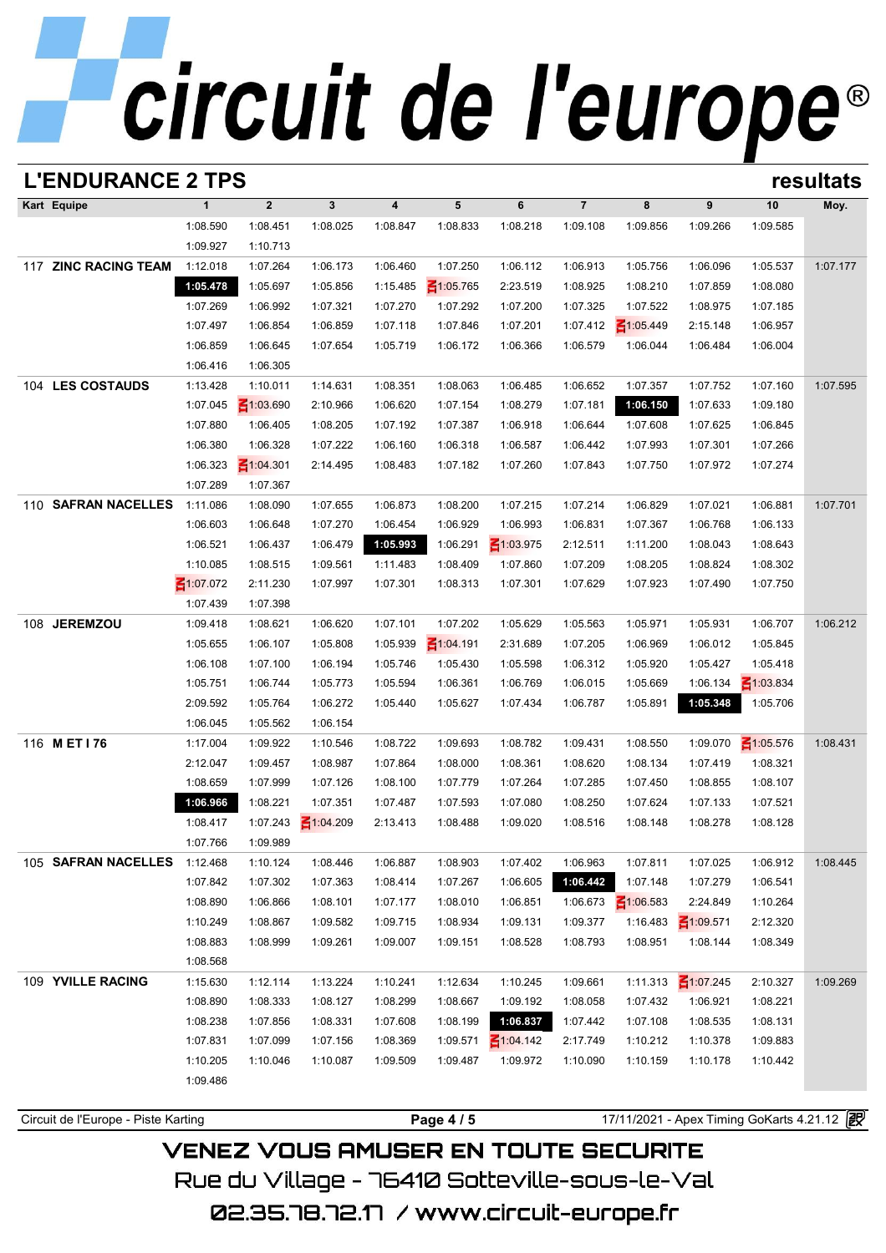| <b>L'ENDURANCE 2 TPS</b>            |                 |                 |                 |                  |                 |                 |                |                 |                 |                                            | resultats |
|-------------------------------------|-----------------|-----------------|-----------------|------------------|-----------------|-----------------|----------------|-----------------|-----------------|--------------------------------------------|-----------|
| Kart Equipe                         | $\mathbf{1}$    | $\overline{2}$  | $\mathbf{3}$    | $\boldsymbol{4}$ | 5               | 6               | $\overline{7}$ | 8               | 9               | 10                                         | Moy.      |
|                                     | 1:08.590        | 1:08.451        | 1:08.025        | 1:08.847         | 1:08.833        | 1:08.218        | 1:09.108       | 1:09.856        | 1:09.266        | 1:09.585                                   |           |
|                                     | 1:09.927        | 1:10.713        |                 |                  |                 |                 |                |                 |                 |                                            |           |
| 117 ZINC RACING TEAM                | 1:12.018        | 1:07.264        | 1:06.173        | 1:06.460         | 1:07.250        | 1:06.112        | 1:06.913       | 1:05.756        | 1:06.096        | 1:05.537                                   | 1:07.177  |
|                                     | 1:05.478        | 1:05.697        | 1:05.856        | 1:15.485         | $\leq 1:05.765$ | 2:23.519        | 1:08.925       | 1:08.210        | 1:07.859        | 1:08.080                                   |           |
|                                     | 1:07.269        | 1:06.992        | 1:07.321        | 1:07.270         | 1:07.292        | 1:07.200        | 1:07.325       | 1:07.522        | 1:08.975        | 1:07.185                                   |           |
|                                     | 1:07.497        | 1:06.854        | 1:06.859        | 1:07.118         | 1:07.846        | 1:07.201        | 1:07.412       | $\leq 1:05.449$ | 2:15.148        | 1:06.957                                   |           |
|                                     | 1:06.859        | 1:06.645        | 1:07.654        | 1:05.719         | 1:06.172        | 1:06.366        | 1:06.579       | 1:06.044        | 1:06.484        | 1:06.004                                   |           |
|                                     | 1:06.416        | 1:06.305        |                 |                  |                 |                 |                |                 |                 |                                            |           |
| 104 LES COSTAUDS                    | 1:13.428        | 1:10.011        | 1:14.631        | 1:08.351         | 1:08.063        | 1:06.485        | 1:06.652       | 1:07.357        | 1:07.752        | 1:07.160                                   | 1:07.595  |
|                                     | 1:07.045        | $\leq 1:03.690$ | 2:10.966        | 1:06.620         | 1:07.154        | 1:08.279        | 1:07.181       | 1:06.150        | 1:07.633        | 1:09.180                                   |           |
|                                     | 1:07.880        | 1:06.405        | 1:08.205        | 1:07.192         | 1:07.387        | 1:06.918        | 1:06.644       | 1:07.608        | 1:07.625        | 1:06.845                                   |           |
|                                     | 1:06.380        | 1:06.328        | 1:07.222        | 1:06.160         | 1:06.318        | 1:06.587        | 1:06.442       | 1:07.993        | 1:07.301        | 1:07.266                                   |           |
|                                     | 1:06.323        | ₹1:04.301       | 2:14.495        | 1:08.483         | 1:07.182        | 1:07.260        | 1:07.843       | 1:07.750        | 1:07.972        | 1:07.274                                   |           |
|                                     | 1:07.289        | 1:07.367        |                 |                  |                 |                 |                |                 |                 |                                            |           |
| <b>SAFRAN NACELLES</b><br>110       | 1:11.086        | 1:08.090        | 1:07.655        | 1:06.873         | 1:08.200        | 1:07.215        | 1:07.214       | 1:06.829        | 1:07.021        | 1:06.881                                   | 1:07.701  |
|                                     | 1:06.603        | 1:06.648        | 1:07.270        | 1:06.454         | 1:06.929        | 1:06.993        | 1:06.831       | 1:07.367        | 1:06.768        | 1:06.133                                   |           |
|                                     | 1:06.521        | 1:06.437        | 1:06.479        | 1:05.993         | 1:06.291        | $\leq 1:03.975$ | 2:12.511       | 1:11.200        | 1:08.043        | 1:08.643                                   |           |
|                                     | 1:10.085        | 1:08.515        | 1:09.561        | 1:11.483         | 1:08.409        | 1:07.860        | 1:07.209       | 1:08.205        | 1:08.824        | 1:08.302                                   |           |
|                                     | $\leq 1:07.072$ | 2:11.230        | 1:07.997        | 1:07.301         | 1:08.313        | 1:07.301        | 1:07.629       | 1:07.923        | 1:07.490        | 1:07.750                                   |           |
|                                     | 1:07.439        | 1:07.398        |                 |                  |                 |                 |                |                 |                 |                                            |           |
| <b>JEREMZOU</b><br>108              | 1:09.418        | 1:08.621        | 1:06.620        | 1:07.101         | 1:07.202        | 1:05.629        | 1:05.563       | 1:05.971        | 1:05.931        | 1:06.707                                   | 1:06.212  |
|                                     | 1:05.655        | 1:06.107        | 1:05.808        | 1:05.939         | $\leq 1:04.191$ | 2:31.689        | 1:07.205       | 1:06.969        | 1:06.012        | 1:05.845                                   |           |
|                                     | 1:06.108        | 1:07.100        | 1:06.194        | 1:05.746         | 1:05.430        | 1:05.598        | 1:06.312       | 1:05.920        | 1:05.427        | 1:05.418                                   |           |
|                                     | 1:05.751        | 1:06.744        | 1:05.773        | 1:05.594         | 1:06.361        | 1:06.769        | 1:06.015       | 1:05.669        | 1:06.134        | $\leq 1:03.834$                            |           |
|                                     | 2:09.592        | 1:05.764        | 1:06.272        | 1:05.440         | 1:05.627        | 1:07.434        | 1:06.787       | 1:05.891        | 1:05.348        | 1:05.706                                   |           |
|                                     | 1:06.045        | 1:05.562        | 1:06.154        |                  |                 |                 |                |                 |                 |                                            |           |
| 116 MET176                          | 1:17.004        | 1:09.922        | 1:10.546        | 1:08.722         | 1:09.693        | 1:08.782        | 1:09.431       | 1:08.550        | 1:09.070        | $\leq 1:05.576$                            | 1:08.431  |
|                                     | 2:12.047        | 1:09.457        | 1:08.987        | 1:07.864         | 1:08.000        | 1:08.361        | 1:08.620       | 1:08.134        | 1:07.419        | 1:08.321                                   |           |
|                                     | 1:08.659        | 1:07.999        | 1:07.126        | 1:08.100         | 1:07.779        | 1:07.264        | 1:07.285       | 1:07.450        | 1:08.855        | 1:08.107                                   |           |
|                                     | 1:06.966        | 1:08.221        | 1:07.351        | 1:07.487         | 1:07.593        | 1:07.080        | 1:08.250       | 1:07.624        | 1:07.133        | 1:07.521                                   |           |
|                                     | 1:08.417        | 1:07.243        | $\leq 1:04.209$ | 2:13.413         | 1:08.488        | 1:09.020        | 1:08.516       | 1:08.148        | 1:08.278        | 1:08.128                                   |           |
|                                     | 1:07.766        | 1:09.989        |                 |                  |                 |                 |                |                 |                 |                                            |           |
| 105 SAFRAN NACELLES                 | 1:12.468        | 1:10.124        | 1:08.446        | 1:06.887         | 1:08.903        | 1:07.402        | 1:06.963       | 1:07.811        | 1:07.025        | 1:06.912                                   | 1:08.445  |
|                                     | 1:07.842        | 1:07.302        | 1:07.363        | 1:08.414         | 1:07.267        | 1:06.605        | 1:06.442       | 1:07.148        | 1:07.279        | 1:06.541                                   |           |
|                                     | 1:08.890        | 1:06.866        | 1:08.101        | 1:07.177         | 1:08.010        | 1:06.851        | 1:06.673       | $\leq 1:06.583$ | 2:24.849        | 1:10.264                                   |           |
|                                     | 1:10.249        | 1:08.867        | 1:09.582        | 1:09.715         | 1:08.934        | 1:09.131        | 1:09.377       | 1:16.483        | ₹1:09.571       | 2:12.320                                   |           |
|                                     | 1:08.883        | 1:08.999        | 1:09.261        | 1:09.007         | 1:09.151        | 1:08.528        | 1:08.793       | 1:08.951        | 1:08.144        | 1:08.349                                   |           |
|                                     | 1:08.568        |                 |                 |                  |                 |                 |                |                 |                 |                                            |           |
| 109 YVILLE RACING                   | 1:15.630        | 1:12.114        | 1:13.224        | 1:10.241         | 1:12.634        | 1:10.245        | 1:09.661       | 1:11.313        | $\leq 1:07.245$ | 2:10.327                                   | 1:09.269  |
|                                     | 1:08.890        | 1:08.333        | 1:08.127        | 1:08.299         | 1:08.667        | 1:09.192        | 1:08.058       | 1:07.432        | 1:06.921        | 1:08.221                                   |           |
|                                     | 1:08.238        | 1:07.856        | 1:08.331        | 1:07.608         | 1:08.199        | 1:06.837        | 1:07.442       | 1:07.108        | 1:08.535        | 1:08.131                                   |           |
|                                     | 1:07.831        | 1:07.099        | 1:07.156        | 1:08.369         | 1:09.571        | $\leq 1:04.142$ | 2:17.749       | 1:10.212        | 1:10.378        | 1:09.883                                   |           |
|                                     | 1:10.205        | 1:10.046        | 1:10.087        | 1:09.509         | 1:09.487        | 1:09.972        | 1:10.090       | 1:10.159        | 1:10.178        | 1:10.442                                   |           |
|                                     | 1:09.486        |                 |                 |                  |                 |                 |                |                 |                 |                                            |           |
|                                     |                 |                 |                 |                  |                 |                 |                |                 |                 |                                            |           |
| Circuit de l'Europe - Piste Karting |                 |                 |                 |                  | Page 4 / 5      |                 |                |                 |                 | 17/11/2021 - Apex Timing GoKarts 4.21.12 图 |           |

## **VENEZ VOUS AMUSER EN TOUTE SECURITE** Rue du Village – 76410 Sotteville-sous-le-Val